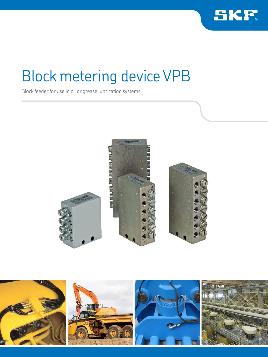

Block feeder for use in oil or grease lubrication systems



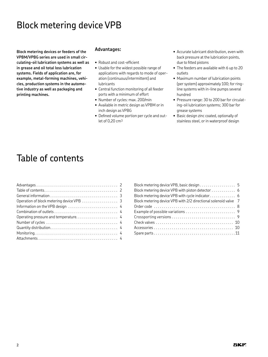**Block metering devices or feeders of the VPBM/VPBG series are used in small circulating-oil lubrication systems as well as in grease and oil total loss lubrication systems. Fields of application are, for example, metal-forming machines, vehicles, production systems in the automotive industry as well as packaging and printing machines.**

### **Advantages:**

- Robust and cost-eficient
- Usable for the widest possible range of applications with regards to mode of operation (continuous/intermittent) and lubricants
- Central function monitoring of all feeder ports with a minimum of effort
- Number of cycles: max. 200/min
- Available in metric design as VPBM or in inch design as VPBG
- Defined volume portion per cycle and outlet of 0,20 cm3
- Accurate lubricant distribution, even with back pressure at the lubrication points, due to fitted pistons
- The feeders are available with 6 up to 20 outlets
- Maximum number of lubrication points (per system) approximately 100; for ringline systems with in-line pumps several hundred
- Pressure range: 30 to 200 bar for circulating-oil lubrication systems; 300 bar for grease systems
- Basic design zinc coated, optionally of stainless steel, or in waterproof design

### Table of contents

| Information on the VPB design  4 |  |
|----------------------------------|--|
|                                  |  |
|                                  |  |
|                                  |  |
|                                  |  |
|                                  |  |
|                                  |  |
|                                  |  |

| Block metering device VPB with piston detector 6                |  |
|-----------------------------------------------------------------|--|
| Block metering device VPB with cycle indicator 6                |  |
| Block metering device VPB with 2/2 directional solenoid valve 7 |  |
|                                                                 |  |
|                                                                 |  |
|                                                                 |  |
|                                                                 |  |
|                                                                 |  |
|                                                                 |  |
|                                                                 |  |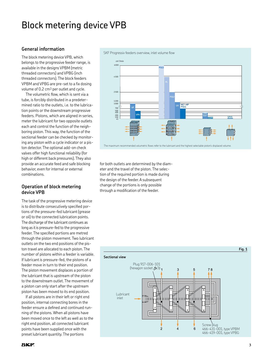### **General information**

The block metering device VPB, which belongs to the progressive feeder range, is available in the designs VPBM (metric threaded connectors) and VPBG (inch threaded connectors). The block feeders VPBM and VPBG are pre-set to a fix dosing volume of 0.2 cm3 per outlet and cycle.

The volumetric flow, which is sent via a tube, is forcibly distributed in a predetermined ratio to the outlets, i.e. to the lubrication points or the downstream progressive feeders. Pistons, which are aligned in series, meter the lubricant for two opposite outlets each and control the function of the neighboring piston. This way, the function of the sectional feeder can be checked by monitoring any piston with a cycle indicator or a piston detector. The optional add-on check valves offer high functional reliability (for high or different back pressures). They also provide an accurate feed and safe blocking behavior, even for internal or external combinations.

### **Operation of block metering device VPB**

The task of the progressive metering device is to distribute consecutively specified portions of the pressure-fed lubricant (grease or oil) to the connected lubrication points. The discharge of the lubricant continues as long as it is pressure-fed to the progressive feeder. The specified portions are metred through the piston movement. Two lubricant outlets on the two end positions of the piston travel are allocated to each piston. The number of pistons within a feeder is variable. If lubricant is pressure-fed, the pistons of a feeder move in turn to their end position. The piston movement displaces a portion of the lubricant that is upstream of the piston to the downstream outlet. The movement of a piston can only start after the upstream piston has been moved to its end position.

If all pistons are in their left or right end position, internal connecting bores in the feeder ensure a defined and continued running of the pistons. When all pistons have been moved once to the left as well as to the right end position, all connected lubricant points have been supplied once with the preset lubricant quantity. The portions



for both outlets are determined by the diameter and the travel of the piston. The selection of the required portion is made during the design of the feeder. A subsequent change of the portions is only possible through a modification of the feeder.

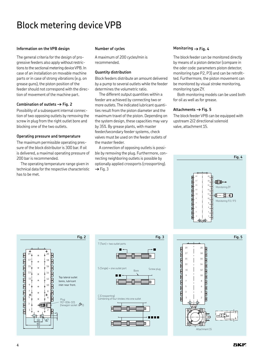#### **Information on the VPB design**

The general criteria for the design of progressive feeders also apply without restrictions to the sectional metering device VPB. In case of an installation on movable machine parts or in case of strong vibrations (e.g. on grease guns), the piston position of the feeder should not correspond with the direction of movement of the machine part.

### **Combination of outlets † Fig. 2**

Possibility of a subsequent internal connection of two opposing outlets by removing the screw in plug from the right outlet bore and blocking one of the two outlets.

#### **Operating pressure and temperature**

The maximum permissible operating pressure of the block distributor is 300 bar. If oil is delivered, a maximal operating pressure of 200 bar is recommended.

The operating temperature range given in technical data for the respective characteristic has to be met.

#### **Number of cycles**

A maximum of 200 cycles/min is recommended.

#### **Quantity distribution**

Block feeders distribute an amount delivered by a pump to several outlets while the feeder determines the volumetric ratio.

The different output quantities within a feeder are achieved by connecting two or more outlets. The indicated lubricant quantities result from the piston diameter and the maximum travel of the piston. Depending on the system design, these capacities may vary by 35%. By grease plants, with master feeder/secondary feeder systems, check valves must be used on the feeder outlets of the master feeder.

A connection of opposing outlets is possible by removing the plug. Furthermore, connecting neighboring outlets is possible by optionally applied crossports (crossporting). → Fig. 3

### **Monitoring † Fig. 4**

The block feeder can be monitored directly by means of a piston detector (compare in the oder code: parameters piston detector, monitoring type P2, P3) and can be retrofitted. Furthermore, the piston movement can be monitored by visual stroke monitoring, monitoring type ZY.

Both monitoring models can be used both for oil as well as for grease.

#### **Attachments † Fig. 5**

The block feeder VPB can be equipped with upstream 2/2 directional solenoid valve, attachment 15.







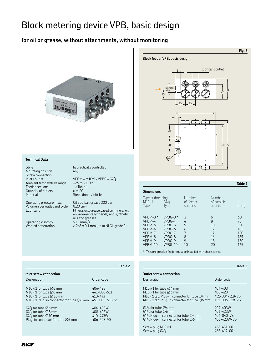### Block metering device VPB, basic design

### **for oil or grease, without attachments, without monitoring**



#### **Technical Data**

Style hydraulically controlled<br>
Mounting position any Mounting position Screw connection<br>Inlet / outlet Ambient temperature range  $-25$  to +11<br>Feeder sections  $\rightarrow$  Table 1 Feeder sections <br>Quantity of outlets 6 to 20 Quantity of outlets Material Steel, tinned/ nitrile

Operating pressure max. Oil 200 bar, grease 300 bar Volumen per outlet and cycle 0.20 cm<sup>3</sup>

Operating viscosity  $> 12 \text{ mm}^2/\text{s}$ <br>Worked penetration  $\geq 265 \times 0.1$ 

 $VPBM = M10x1 / VPBG = G1/g$ <br>-25 to +110 °C

Lubricant Mineral oils, grease based on mineral oil, environmentally friendly and synthetic oils and greases  $\geq$  265 x 0.1 mm (up to NLGI-grade 2)



### **Dimensions** Type of threading Number Number M10×1 G1/8 of feeder of possible L Type Type sections outlets [mm] VPBM-3 \* VPBG-3 \* 3 6 60 VPBG-4 4 8 75<br>VPBG-5 5 10 90 VPBM-5 VPBG-5 5<br>
VPBM-6 VPBG-6 6<br>
VPBM-7 VPBG-7 7 VPBM-6 VPBG-6 6 12 105<br>VPBM-7 VPBG-7 7 14 120 VPBG-7 7 14 120<br>VPBG-8 8 16 135 VPBM-8 VPBG-8 8 16 135<br>VPBM-9 VPBG-9 9 18 150 VPBM-9 VPBG-9 9 18 150<br>VPBM-10 VPBG-10 10 20 165  $VPBG-10$

\* This progressive feeder must be installed with check valves.

|                                                                   | rable 3        |
|-------------------------------------------------------------------|----------------|
| <b>Outlet screw connection</b><br>Designation                     | Order code     |
| $M10\times1$ for tube $\varnothing$ 4 mm                          | $404 - 403$    |
| $M10\times1$ for tube $\varnothing6$ mm                           | 406-423        |
| M10 $\times$ 1 tap. Plug-in connector for tube $\varnothing$ 4 mm | 451-004-518-VS |
| M10 x 1 tap. Plug-in connector for tube Ø6 mm                     | 451-006-518-VS |
| $G1/s$ for tube $\emptyset$ 4 mm                                  | 404-403W       |
| $G1/s$ for tube $\emptyset$ 6 mm                                  | 406-423W       |
| $G1/8$ Plug-in connector for tube $\varnothing4$ mm               | 404-040-VS     |
| G1/8 Plug-in connector for tube Ø6 mm                             | 406-423W-VS    |
| Screw plug $M10 \times 1$                                         | 466-431-001    |
| Screw plug G1/8                                                   | 466-419-001    |

|                                                                                                                                                                                    | Table 2                                                 |
|------------------------------------------------------------------------------------------------------------------------------------------------------------------------------------|---------------------------------------------------------|
| Inlet screw connection                                                                                                                                                             |                                                         |
| Designation                                                                                                                                                                        | Order code                                              |
| $M10\times1$ for tube $\emptyset$ 6 mm<br>$M10\times1$ for tube $O8$ mm<br>$M10\times1$ for tube $\emptyset$ 10 mm<br>M10 $\times$ 1 Plug-in connector for tube $\varnothing$ 6 mm | 406-423<br>441-008-511<br>$410 - 443$<br>451-006-518-VS |
| $G1/s$ for tube $\varnothing6$ mm<br>$G1/s$ for tube $\varnothing 8$ mm<br>$G1/s$ for tube $\varnothing$ 10 mm<br>Plug-in connector for tube $\emptyset$ 6 mm                      | 406-403W<br>408-423W<br>410-443W<br>406-423-VS          |

**Table 1**

**Table 3**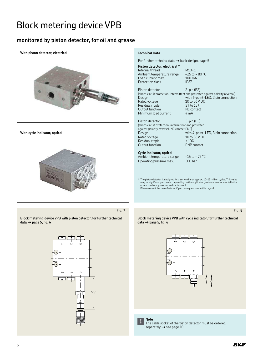### **monitored by piston detector, for oil and grease**



**Block metering device VPB with piston detector, for further technical data † page 5, ig. 6**



### **Block metering device VPB with cycle indicator, for further technical**   $data \rightarrow page 5$ , fig. 6





**Note** The cable socket of the piston detector must be ordered separately **†** see page 10.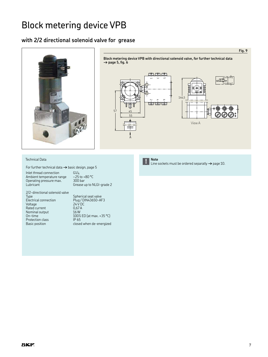### **with 2/2 directional solenoid valve for grease**





#### Technical Data

For further technical data **†** basic design, page 5

Inlet thread connection  $61/4$ <br>Ambient temperature range  $-25$  to +80 °C Ambient temperature range  $-25$  to +<br>Operating pressure max. 300 bar Operating pressure max.<br>Lubricant

Grease up to NLGI-grade 2

2/2-directional solenoid valve Spherical seat valve Spilencal seat valve<br>Plug / DIN43650-AF3<br>24 V DC Voltage 24 V DC Rated current Nominal output<br>On-time U.S. . .<br>16 W<br>100% ED (at max. +35 °C)<br>IP 65 Protection class<br>Basic position closed when de-energized



**Note**

Line sockets must be ordered separatly **†** page 10. **!**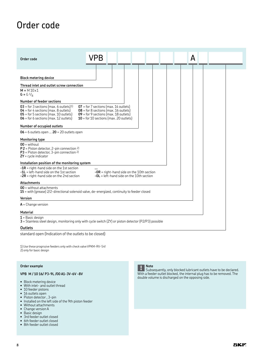### Order code

standard open (Indication of the outlets to be closed)

1) Use these progrssive feeders only with check valve VPKM-RV-S4! 2) only for basic design

#### **Order example**

### **VPB M / 10 16/ P3-9L /00 A1-3V-6V -8V**

- Block metering device
- With inlet- and outlet thread
- 10 feeder pistons
- 16 outlets open
- Piston detector , 3-pin
- Installed on the left side of the 9th piston feeder
- Without attachments
- Change version A
- Basic design
- 3rd feeder outlet closed
- 6th feeder outlet closed
- 8th feeder outlet closed



Subsequently, only blocked lubricant outlets have to be declared. With a feeder outlet blocked, the internal plug has to be removed. The

double volume is discharged on the opposing side.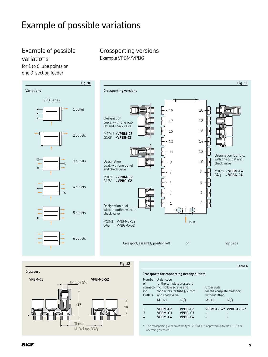### Example of possible variations

### Example of possible variations

for 1 to 6 lube points on one 3-section feeder

Crossporting versions Example VPBM/VPBG



**Crossport**



|             |                                                                                                                                                                          |                                          |                                               | Table 4                            |
|-------------|--------------------------------------------------------------------------------------------------------------------------------------------------------------------------|------------------------------------------|-----------------------------------------------|------------------------------------|
|             |                                                                                                                                                                          | Crossports for connecting nearby outlets |                                               |                                    |
| of l<br>ing | Number Order code<br>for the complete crossport<br>connect- incl. hollow screws and<br>connectors for tube $\varnothing$ 6 mm<br>Outlets and check valve<br>$M10\times1$ | G1/s                                     | Order code<br>without fitting<br>$M10\times1$ | for the complete crossport<br>G1/g |
| 2<br>3      | VPBM-C2<br>VPBM-C3<br>VPBM-C4                                                                                                                                            | VPBG-C2<br>VPBG-C3<br>VPBG-C4            |                                               | VPBM-C-S2* VPBG-C-S2*              |

\* The crossporting version of the type VPBM-C is approved up to max. 100 bar operating pressure.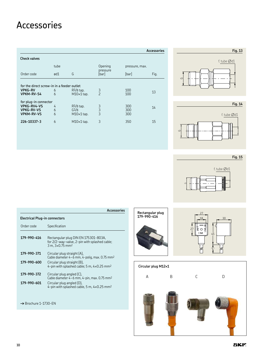### Accessories

|                                                                                |             |                                          |                     |                   | Accessories |
|--------------------------------------------------------------------------------|-------------|------------------------------------------|---------------------|-------------------|-------------|
| <b>Check valves</b>                                                            |             |                                          |                     |                   |             |
|                                                                                | tube        |                                          | Opening             | pressure, max.    |             |
| Order code                                                                     | ød1         | G                                        | pressure<br>[bar]   | [bar]             | Fig.        |
| for the direct screw-in in a feeder outlet<br><b>VPKG-RV</b><br>VPKM-RV-S4     | 6<br>6      | $R1/8$ tap.<br>$M10\times1$ tap.         | 3<br>$\overline{c}$ | 100<br>100        | 13          |
| for plug-in connector<br>VPKG-RV4-VS<br><b>VPKG-RV-VS</b><br><b>VPKM-RV-VS</b> | 4<br>6<br>6 | $R1/8$ tap.<br>G1/8<br>$M10\times1$ tap. | $\frac{3}{3}$<br>3  | 300<br>300<br>300 | 14          |
| 226-10337-3                                                                    | 6           | $M10\times1$ tap.                        | 3                   | 350               | 15          |





**Fig. 15**



|                               | Accessories                                                                                                                   |  |  |  |  |
|-------------------------------|-------------------------------------------------------------------------------------------------------------------------------|--|--|--|--|
| Electrical Plug-in connectors |                                                                                                                               |  |  |  |  |
| Order code                    | Specification                                                                                                                 |  |  |  |  |
| 179-990-416                   | Rectangular plug DIN EN 175301-803A,<br>for 2/2-way-valve, 2-pin with splashed cable;<br>$3 m, 3 \times 0.75$ mm <sup>2</sup> |  |  |  |  |
| 179-990-371                   | Circular plug straight (A),<br>Cable diameter $4-6$ mm, $4$ -polig, max. 0.75 mm <sup>2</sup>                                 |  |  |  |  |
| 179-990-600                   | Circular plug straight (B),<br>4-pin with splashed cable; 5 m, $4\times0.25$ mm <sup>2</sup>                                  |  |  |  |  |
| 179-990-372                   | Circular plug angled (C),<br>Cable diameter 4-6 mm, 4-pin, max. 0.75 mm <sup>2</sup>                                          |  |  |  |  |
| 179-990-601                   | Circular plug angled (D),<br>4-pin with splashed cable, 5 m, $4 \times 0.25$ mm <sup>2</sup>                                  |  |  |  |  |

**†** Brochure 1-1730-EN





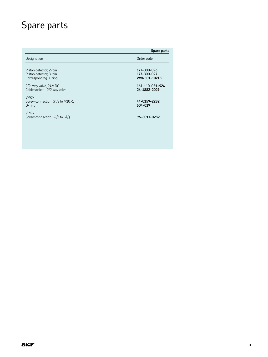## Spare parts

|                                                                          | Spare parts                                 |
|--------------------------------------------------------------------------|---------------------------------------------|
| Designation                                                              | Order code                                  |
| Piston detector, 2-pin<br>Piston detector, 3-pin<br>Corresponding O-ring | 177-300-096<br>177-300-097<br>WVN501-10x1.5 |
| $2/2$ -way valve, 24 V DC<br>Cable socket - 2/2 way valve                | 161-110-031+924<br>24-1882-2029             |
| <b>VPKM</b><br>Screw connection $G1/4$ to M10 $\times 1$<br>$0$ -ring    | 44-0159-2282<br>504-019                     |
| <b>VPKG</b><br>Screw connection $G1/4$ to $G1/8$                         | 96-6013-0282                                |
|                                                                          |                                             |